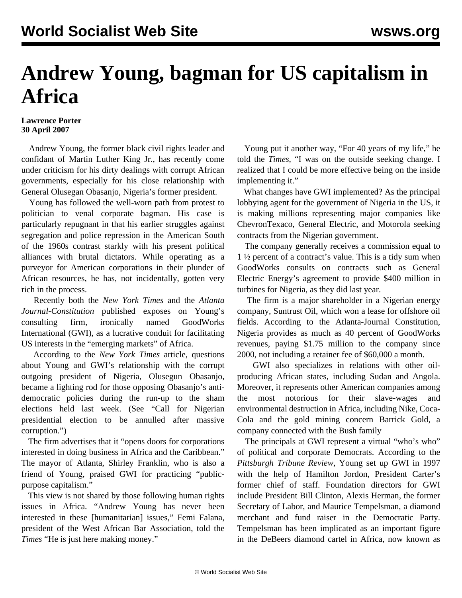## **Andrew Young, bagman for US capitalism in Africa**

## **Lawrence Porter 30 April 2007**

 Andrew Young, the former black civil rights leader and confidant of Martin Luther King Jr., has recently come under criticism for his dirty dealings with corrupt African governments, especially for his close relationship with General Olusegan Obasanjo, Nigeria's former president.

 Young has followed the well-worn path from protest to politician to venal corporate bagman. His case is particularly repugnant in that his earlier struggles against segregation and police repression in the American South of the 1960s contrast starkly with his present political alliances with brutal dictators. While operating as a purveyor for American corporations in their plunder of African resources, he has, not incidentally, gotten very rich in the process.

 Recently both the *New York Times* and the *Atlanta Journal-Constitution* published exposes on Young's consulting firm, ironically named GoodWorks International (GWI), as a lucrative conduit for facilitating US interests in the "emerging markets" of Africa.

 According to the *New York Times* article, questions about Young and GWI's relationship with the corrupt outgoing president of Nigeria, Olusegun Obasanjo, became a lighting rod for those opposing Obasanjo's antidemocratic policies during the run-up to the sham elections held last week. (See ["Call for Nigerian](nige-a24.shtml) [presidential election to be annulled after massive](nige-a24.shtml) [corruption."](nige-a24.shtml))

 The firm advertises that it "opens doors for corporations interested in doing business in Africa and the Caribbean." The mayor of Atlanta, Shirley Franklin, who is also a friend of Young, praised GWI for practicing "publicpurpose capitalism."

 This view is not shared by those following human rights issues in Africa. "Andrew Young has never been interested in these [humanitarian] issues," Femi Falana, president of the West African Bar Association, told the *Times* "He is just here making money."

 Young put it another way, "For 40 years of my life," he told the *Times*, "I was on the outside seeking change. I realized that I could be more effective being on the inside implementing it."

 What changes have GWI implemented? As the principal lobbying agent for the government of Nigeria in the US, it is making millions representing major companies like ChevronTexaco, General Electric, and Motorola seeking contracts from the Nigerian government.

 The company generally receives a commission equal to 1 ½ percent of a contract's value. This is a tidy sum when GoodWorks consults on contracts such as General Electric Energy's agreement to provide \$400 million in turbines for Nigeria, as they did last year.

 The firm is a major shareholder in a Nigerian energy company, Suntrust Oil, which won a lease for offshore oil fields. According to the Atlanta-Journal Constitution, Nigeria provides as much as 40 percent of GoodWorks revenues, paying \$1.75 million to the company since 2000, not including a retainer fee of \$60,000 a month.

 GWI also specializes in relations with other oilproducing African states, including Sudan and Angola. Moreover, it represents other American companies among the most notorious for their slave-wages and environmental destruction in Africa, including Nike, Coca-Cola and the gold mining concern Barrick Gold, a company connected with the Bush family

 The principals at GWI represent a virtual "who's who" of political and corporate Democrats. According to the *Pittsburgh Tribune Review*, Young set up GWI in 1997 with the help of Hamilton Jordon, President Carter's former chief of staff. Foundation directors for GWI include President Bill Clinton, Alexis Herman, the former Secretary of Labor, and Maurice Tempelsman, a diamond merchant and fund raiser in the Democratic Party. Tempelsman has been implicated as an important figure in the DeBeers diamond cartel in Africa, now known as